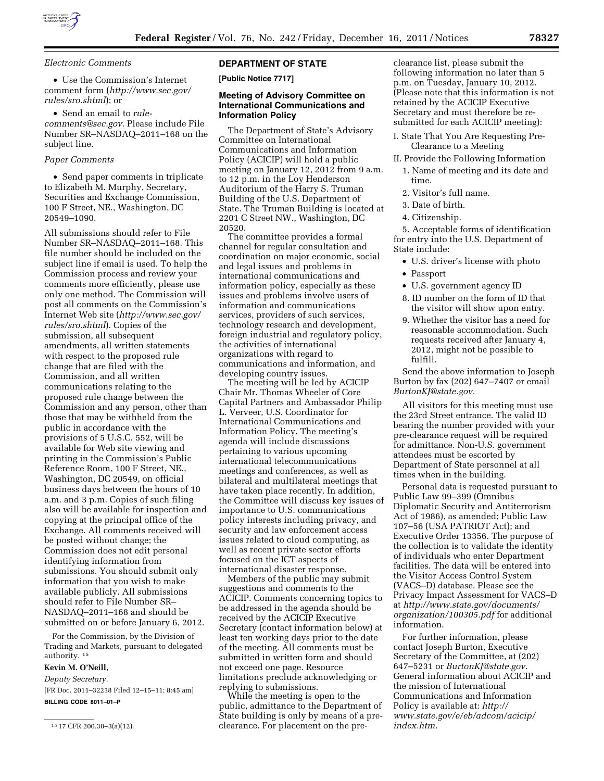

*Electronic Comments* 

• Use the Commission's Internet comment form (*[http://www.sec.gov/](http://www.sec.gov/rules/sro.shtml)  [rules/sro.shtml](http://www.sec.gov/rules/sro.shtml)*); or

• Send an email to *[rule](mailto:rule-comments@sec.gov)[comments@sec.gov.](mailto:rule-comments@sec.gov)* Please include File Number SR–NASDAQ–2011–168 on the subject line.

# *Paper Comments*

• Send paper comments in triplicate to Elizabeth M. Murphy, Secretary, Securities and Exchange Commission, 100 F Street, NE., Washington, DC 20549–1090.

All submissions should refer to File Number SR–NASDAQ–2011–168. This file number should be included on the subject line if email is used. To help the Commission process and review your comments more efficiently, please use only one method. The Commission will post all comments on the Commission's Internet Web site (*[http://www.sec.gov/](http://www.sec.gov/rules/sro.shtml)  [rules/sro.shtml](http://www.sec.gov/rules/sro.shtml)*). Copies of the submission, all subsequent amendments, all written statements with respect to the proposed rule change that are filed with the Commission, and all written communications relating to the proposed rule change between the Commission and any person, other than those that may be withheld from the public in accordance with the provisions of 5 U.S.C. 552, will be available for Web site viewing and printing in the Commission's Public Reference Room, 100 F Street, NE., Washington, DC 20549, on official business days between the hours of 10 a.m. and 3 p.m. Copies of such filing also will be available for inspection and copying at the principal office of the Exchange. All comments received will be posted without change; the Commission does not edit personal identifying information from submissions. You should submit only information that you wish to make available publicly. All submissions should refer to File Number SR– NASDAQ–2011–168 and should be submitted on or before January 6, 2012.

For the Commission, by the Division of Trading and Markets, pursuant to delegated authority. 15

# **Kevin M. O'Neill,**

*Deputy Secretary.*  [FR Doc. 2011–32238 Filed 12–15–11; 8:45 am] **BILLING CODE 8011–01–P** 

15 17 CFR 200.30–3(a)(12).

### **DEPARTMENT OF STATE**

**[Public Notice 7717]** 

#### **Meeting of Advisory Committee on International Communications and Information Policy**

The Department of State's Advisory Committee on International Communications and Information Policy (ACICIP) will hold a public meeting on January 12, 2012 from 9 a.m. to 12 p.m. in the Loy Henderson Auditorium of the Harry S. Truman Building of the U.S. Department of State. The Truman Building is located at 2201 C Street NW., Washington, DC 20520.

The committee provides a formal channel for regular consultation and coordination on major economic, social and legal issues and problems in international communications and information policy, especially as these issues and problems involve users of information and communications services, providers of such services, technology research and development, foreign industrial and regulatory policy, the activities of international organizations with regard to communications and information, and developing country issues.

The meeting will be led by ACICIP Chair Mr. Thomas Wheeler of Core Capital Partners and Ambassador Philip L. Verveer, U.S. Coordinator for International Communications and Information Policy. The meeting's agenda will include discussions pertaining to various upcoming international telecommunications meetings and conferences, as well as bilateral and multilateral meetings that have taken place recently. In addition, the Committee will discuss key issues of importance to U.S. communications policy interests including privacy, and security and law enforcement access issues related to cloud computing, as well as recent private sector efforts focused on the ICT aspects of international disaster response.

Members of the public may submit suggestions and comments to the ACICIP. Comments concerning topics to be addressed in the agenda should be received by the ACICIP Executive Secretary (contact information below) at least ten working days prior to the date of the meeting. All comments must be submitted in written form and should not exceed one page. Resource limitations preclude acknowledging or replying to submissions.

While the meeting is open to the public, admittance to the Department of State building is only by means of a preclearance. For placement on the pre-

clearance list, please submit the following information no later than 5 p.m. on Tuesday, January 10, 2012. (Please note that this information is not retained by the ACICIP Executive Secretary and must therefore be resubmitted for each ACICIP meeting):

- I. State That You Are Requesting Pre-Clearance to a Meeting
- II. Provide the Following Information
	- 1. Name of meeting and its date and time.
	- 2. Visitor's full name.
	- 3. Date of birth.
	- 4. Citizenship.

5. Acceptable forms of identification for entry into the U.S. Department of State include:

- U.S. driver's license with photo
- Passport
- U.S. government agency ID
- 8. ID number on the form of ID that the visitor will show upon entry.
- 9. Whether the visitor has a need for reasonable accommodation. Such requests received after January 4, 2012, might not be possible to fulfill.

Send the above information to Joseph Burton by fax (202) 647–7407 or email *[BurtonKJ@state.gov.](mailto:BurtonKJ@state.gov)* 

All visitors for this meeting must use the 23rd Street entrance. The valid ID bearing the number provided with your pre-clearance request will be required for admittance. Non-U.S. government attendees must be escorted by Department of State personnel at all times when in the building.

Personal data is requested pursuant to Public Law 99–399 (Omnibus Diplomatic Security and Antiterrorism Act of 1986), as amended; Public Law 107–56 (USA PATRIOT Act); and Executive Order 13356. The purpose of the collection is to validate the identity of individuals who enter Department facilities. The data will be entered into the Visitor Access Control System (VACS–D) database. Please see the Privacy Impact Assessment for VACS–D at *[http://www.state.gov/documents/](http://www.state.gov/documents/organization/100305.pdf) [organization/100305.pdf](http://www.state.gov/documents/organization/100305.pdf)* for additional information.

For further information, please contact Joseph Burton, Executive Secretary of the Committee, at (202) 647–5231 or *[BurtonKJ@state.gov.](mailto:BurtonKJ@state.gov)*  General information about ACICIP and the mission of International Communications and Information Policy is available at: *[http://](http://www.state.gov/e/eb/adcom/acicip/index.htm) [www.state.gov/e/eb/adcom/acicip/](http://www.state.gov/e/eb/adcom/acicip/index.htm)  [index.htm.](http://www.state.gov/e/eb/adcom/acicip/index.htm)*